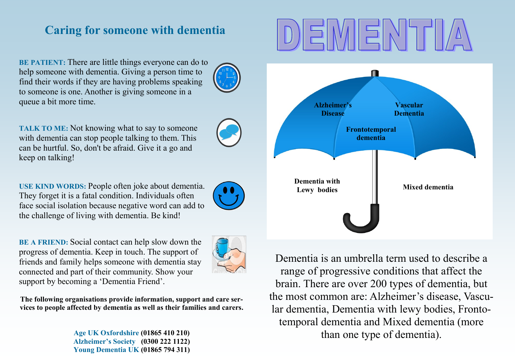# **Caring for someone with dementia**

**BE PATIENT:** There are little things everyone can do to help someone with dementia. Giving a person time to find their words if they are having problems speaking to someone is one. Another is giving someone in a queue a bit more time.

**TALK TO ME:** Not knowing what to say to someone with dementia can stop people talking to them. This can be hurtful. So, don't be afraid. Give it a go and keep on talking!

**USE KIND WORDS:** People often joke about dementia. They forget it is a fatal condition. Individuals often face social isolation because negative word can add to the challenge of living with dementia. Be kind!

**BE A FRIEND:** Social contact can help slow down the progress of dementia. Keep in touch. The support of friends and family helps someone with dementia stay connected and part of their community. Show your support by becoming a 'Dementia Friend'.

**The following organisations provide information, support and care services to people affected by dementia as well as their families and carers.** 

> **Age UK Oxfordshire (01865 410 210) Alzheimer's Society (0300 222 1122) Young Dementia UK (01865 794 311)**



Dementia is an umbrella term used to describe a range of progressive conditions that affect the brain. There are over 200 types of dementia, but the most common are: Alzheimer's disease, Vascular dementia, Dementia with lewy bodies, Frontotemporal dementia and Mixed dementia (more than one type of dementia).